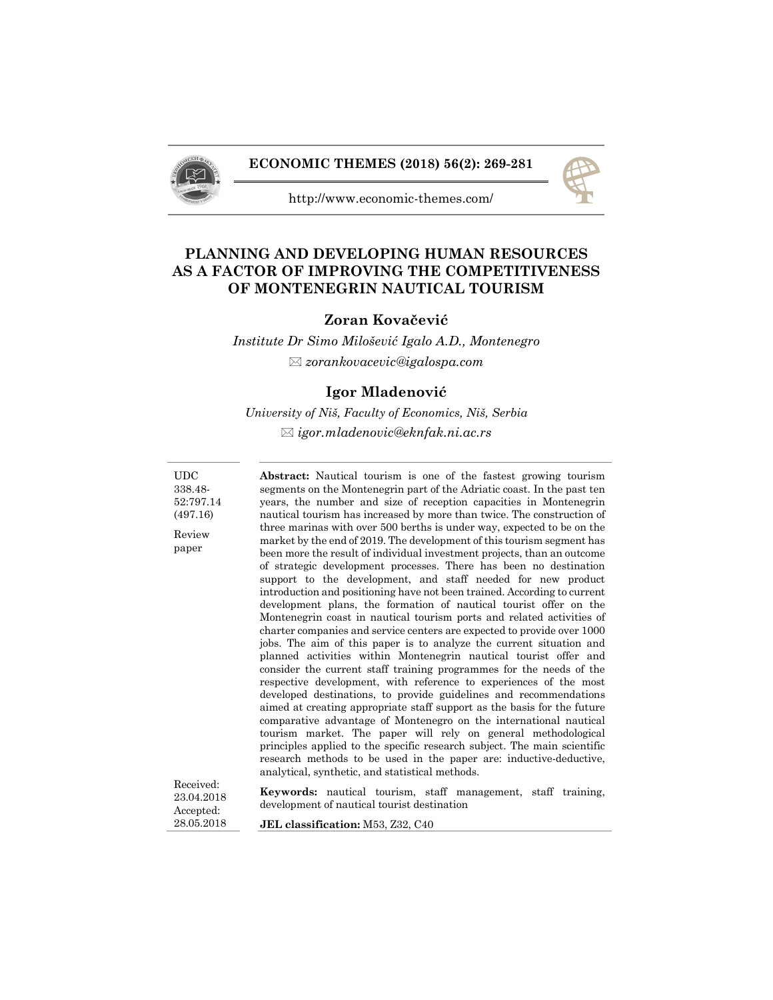

## **ECONOMIC THEMES (2018) 56(2): 269-281**



http://www.economic-themes.com/

# **PLANNING AND DEVELOPING HUMAN RESOURCES AS A FACTOR OF IMPROVING THE COMPETITIVENESS OF MONTENEGRIN NAUTICAL TOURISM**

## **Zoran Kovačević**

*Institute Dr Simo Milošević Igalo A.D., Montenegro zorankovacevic@igalospa.com* 

## **Igor Mladenović**

*University of Niš, Faculty of Economics, Niš, Serbia igor.mladenovic@eknfak.ni.ac.rs* 

UDC 338.48- 52:797.14 (497.16) Review paper **Abstract:** Nautical tourism is one of the fastest growing tourism segments on the Montenegrin part of the Adriatic coast. In the past ten years, the number and size of reception capacities in Montenegrin nautical tourism has increased by more than twice. The construction of three marinas with over 500 berths is under way, expected to be on the market by the end of 2019. The development of this tourism segment has been more the result of individual investment projects, than an outcome of strategic development processes. There has been no destination support to the development, and staff needed for new product introduction and positioning have not been trained. According to current development plans, the formation of nautical tourist offer on the Montenegrin coast in nautical tourism ports and related activities of charter companies and service centers are expected to provide over 1000 jobs. The aim of this paper is to analyze the current situation and planned activities within Montenegrin nautical tourist offer and consider the current staff training programmes for the needs of the respective development, with reference to experiences of the most developed destinations, to provide guidelines and recommendations aimed at creating appropriate staff support as the basis for the future comparative advantage of Montenegro on the international nautical tourism market. The paper will rely on general methodological principles applied to the specific research subject. The main scientific research methods to be used in the paper are: inductive-deductive, analytical, synthetic, and statistical methods. Received: 23.04.2018 Accepted: 28.05.2018 **Keywords:** nautical tourism, staff management, staff training, development of nautical tourist destination **JEL classification:** M53, Z32, C40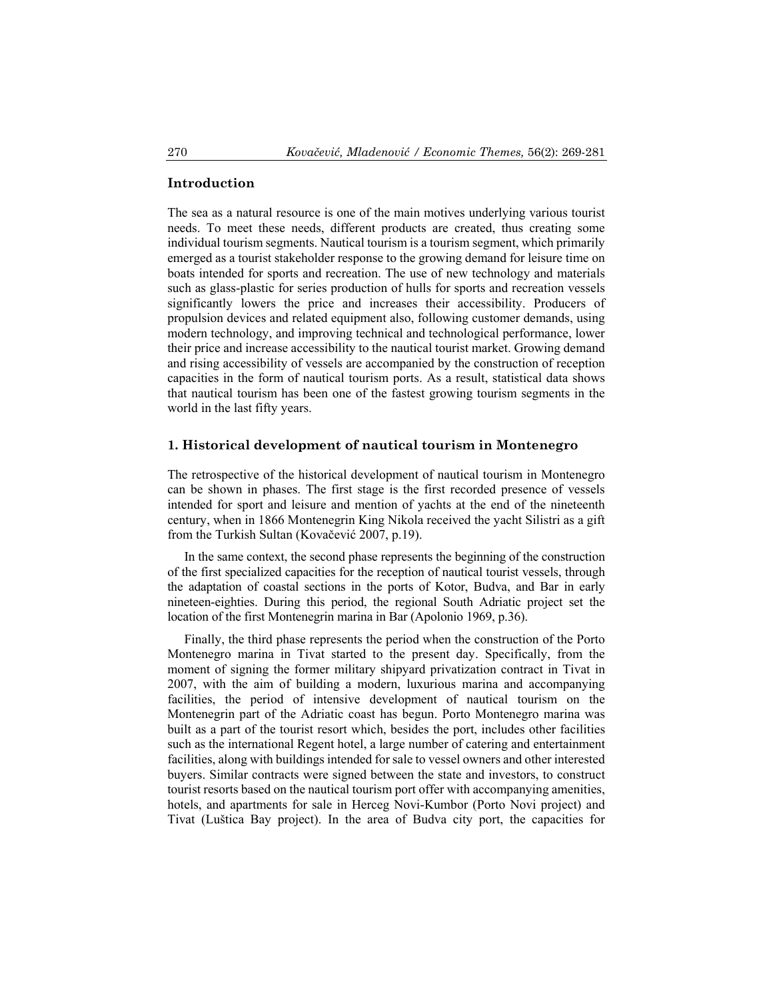#### **Introduction**

The sea as a natural resource is one of the main motives underlying various tourist needs. To meet these needs, different products are created, thus creating some individual tourism segments. Nautical tourism is a tourism segment, which primarily emerged as a tourist stakeholder response to the growing demand for leisure time on boats intended for sports and recreation. The use of new technology and materials such as glass-plastic for series production of hulls for sports and recreation vessels significantly lowers the price and increases their accessibility. Producers of propulsion devices and related equipment also, following customer demands, using modern technology, and improving technical and technological performance, lower their price and increase accessibility to the nautical tourist market. Growing demand and rising accessibility of vessels are accompanied by the construction of reception capacities in the form of nautical tourism ports. As a result, statistical data shows that nautical tourism has been one of the fastest growing tourism segments in the world in the last fifty years.

#### **1. Historical development of nautical tourism in Montenegro**

The retrospective of the historical development of nautical tourism in Montenegro can be shown in phases. The first stage is the first recorded presence of vessels intended for sport and leisure and mention of yachts at the end of the nineteenth century, when in 1866 Montenegrin King Nikola received the yacht Silistri as a gift from the Turkish Sultan (Kovačević 2007, p.19).

 In the same context, the second phase represents the beginning of the construction of the first specialized capacities for the reception of nautical tourist vessels, through the adaptation of coastal sections in the ports of Kotor, Budva, and Bar in early nineteen-eighties. During this period, the regional South Adriatic project set the location of the first Montenegrin marina in Bar (Apolonio 1969, p.36).

 Finally, the third phase represents the period when the construction of the Porto Montenegro marina in Tivat started to the present day. Specifically, from the moment of signing the former military shipyard privatization contract in Tivat in 2007, with the aim of building a modern, luxurious marina and accompanying facilities, the period of intensive development of nautical tourism on the Montenegrin part of the Adriatic coast has begun. Porto Montenegro marina was built as a part of the tourist resort which, besides the port, includes other facilities such as the international Regent hotel, a large number of catering and entertainment facilities, along with buildings intended for sale to vessel owners and other interested buyers. Similar contracts were signed between the state and investors, to construct tourist resorts based on the nautical tourism port offer with accompanying amenities, hotels, and apartments for sale in Herceg Novi-Kumbor (Porto Novi project) and Tivat (Luštica Bay project). In the area of Budva city port, the capacities for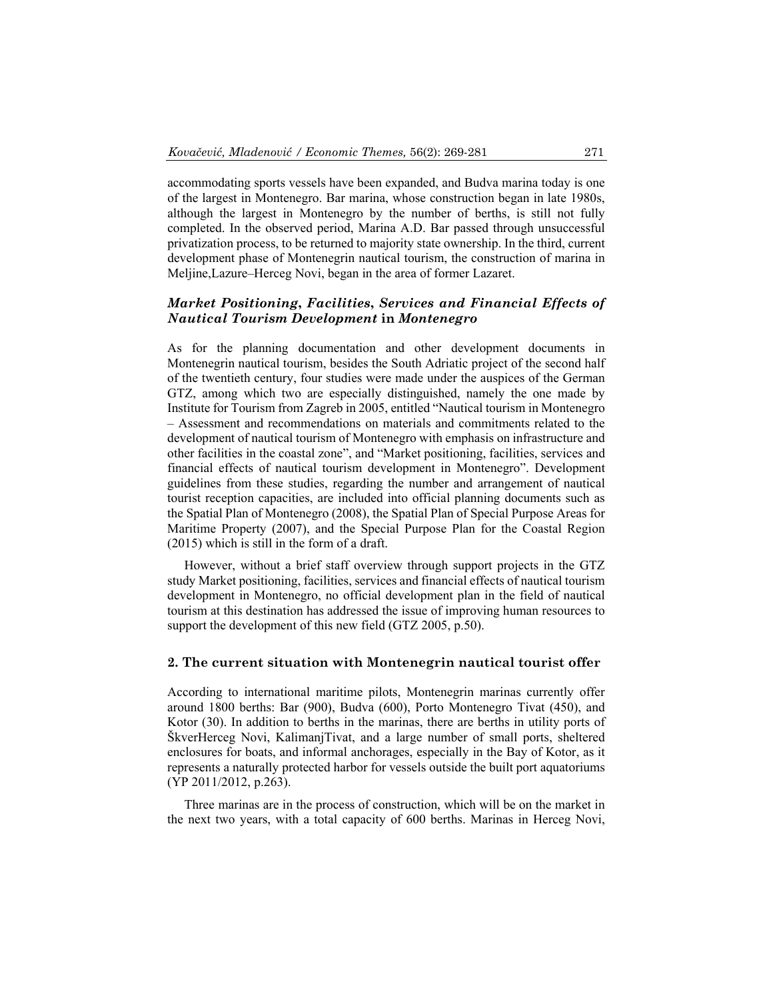accommodating sports vessels have been expanded, and Budva marina today is one of the largest in Montenegro. Bar marina, whose construction began in late 1980s, although the largest in Montenegro by the number of berths, is still not fully completed. In the observed period, Marina A.D. Bar passed through unsuccessful privatization process, to be returned to majority state ownership. In the third, current development phase of Montenegrin nautical tourism, the construction of marina in Meljine,Lazure–Herceg Novi, began in the area of former Lazaret.

### *Market Positioning***,** *Facilities***,** *Services and Financial Effects of Nautical Tourism Development* **in** *Montenegro*

As for the planning documentation and other development documents in Montenegrin nautical tourism, besides the South Adriatic project of the second half of the twentieth century, four studies were made under the auspices of the German GTZ, among which two are especially distinguished, namely the one made by Institute for Tourism from Zagreb in 2005, entitled "Nautical tourism in Montenegro – Assessment and recommendations on materials and commitments related to the development of nautical tourism of Montenegro with emphasis on infrastructure and other facilities in the coastal zone", and "Market positioning, facilities, services and financial effects of nautical tourism development in Montenegro". Development guidelines from these studies, regarding the number and arrangement of nautical tourist reception capacities, are included into official planning documents such as the Spatial Plan of Montenegro (2008), the Spatial Plan of Special Purpose Areas for Maritime Property (2007), and the Special Purpose Plan for the Coastal Region (2015) which is still in the form of a draft.

However, without a brief staff overview through support projects in the GTZ study Market positioning, facilities, services and financial effects of nautical tourism development in Montenegro, no official development plan in the field of nautical tourism at this destination has addressed the issue of improving human resources to support the development of this new field (GTZ 2005, p.50).

### **2. The current situation with Montenegrin nautical tourist offer**

According to international maritime pilots, Montenegrin marinas currently offer around 1800 berths: Bar (900), Budva (600), Porto Montenegro Tivat (450), and Kotor (30). In addition to berths in the marinas, there are berths in utility ports of ŠkverHerceg Novi, KalimanjTivat, and a large number of small ports, sheltered enclosures for boats, and informal anchorages, especially in the Bay of Kotor, as it represents a naturally protected harbor for vessels outside the built port aquatoriums (YP 2011/2012, p.263).

Three marinas are in the process of construction, which will be on the market in the next two years, with a total capacity of 600 berths. Marinas in Herceg Novi,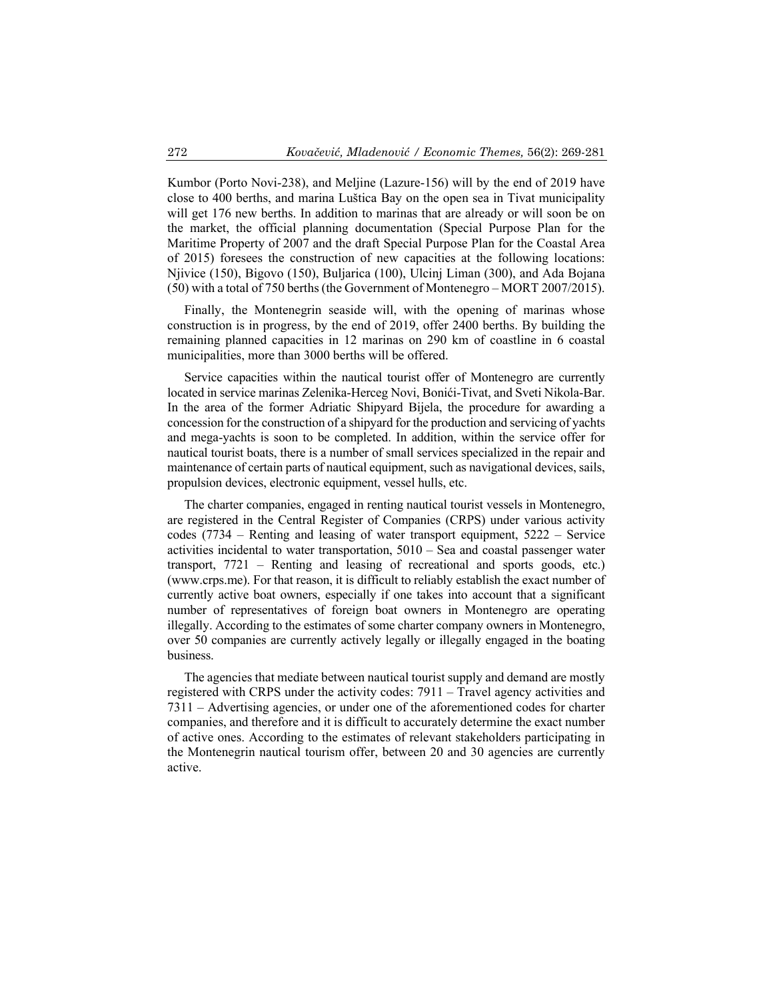Kumbor (Porto Novi-238), and Meljine (Lazure-156) will by the end of 2019 have close to 400 berths, and marina Luštica Bay on the open sea in Tivat municipality will get 176 new berths. In addition to marinas that are already or will soon be on the market, the official planning documentation (Special Purpose Plan for the Maritime Property of 2007 and the draft Special Purpose Plan for the Coastal Area of 2015) foresees the construction of new capacities at the following locations: Njivice (150), Bigovo (150), Buljarica (100), Ulcinj Liman (300), and Ada Bojana (50) with a total of 750 berths (the Government of Montenegro – MORT 2007/2015).

Finally, the Montenegrin seaside will, with the opening of marinas whose construction is in progress, by the end of 2019, offer 2400 berths. By building the remaining planned capacities in 12 marinas on 290 km of coastline in 6 coastal municipalities, more than 3000 berths will be offered.

Service capacities within the nautical tourist offer of Montenegro are currently located in service marinas Zelenika-Herceg Novi, Bonići-Tivat, and Sveti Nikola-Bar. In the area of the former Adriatic Shipyard Bijela, the procedure for awarding a concession for the construction of a shipyard for the production and servicing of yachts and mega-yachts is soon to be completed. In addition, within the service offer for nautical tourist boats, there is a number of small services specialized in the repair and maintenance of certain parts of nautical equipment, such as navigational devices, sails, propulsion devices, electronic equipment, vessel hulls, etc.

The charter companies, engaged in renting nautical tourist vessels in Montenegro, are registered in the Central Register of Companies (CRPS) under various activity codes (7734 – Renting and leasing of water transport equipment, 5222 – Service activities incidental to water transportation, 5010 – Sea and coastal passenger water transport, 7721 – Renting and leasing of recreational and sports goods, etc.) (www.crps.me). For that reason, it is difficult to reliably establish the exact number of currently active boat owners, especially if one takes into account that a significant number of representatives of foreign boat owners in Montenegro are operating illegally. According to the estimates of some charter company owners in Montenegro, over 50 companies are currently actively legally or illegally engaged in the boating business.

The agencies that mediate between nautical tourist supply and demand are mostly registered with CRPS under the activity codes: 7911 – Travel agency activities and 7311 – Advertising agencies, or under one of the aforementioned codes for charter companies, and therefore and it is difficult to accurately determine the exact number of active ones. According to the estimates of relevant stakeholders participating in the Montenegrin nautical tourism offer, between 20 and 30 agencies are currently active.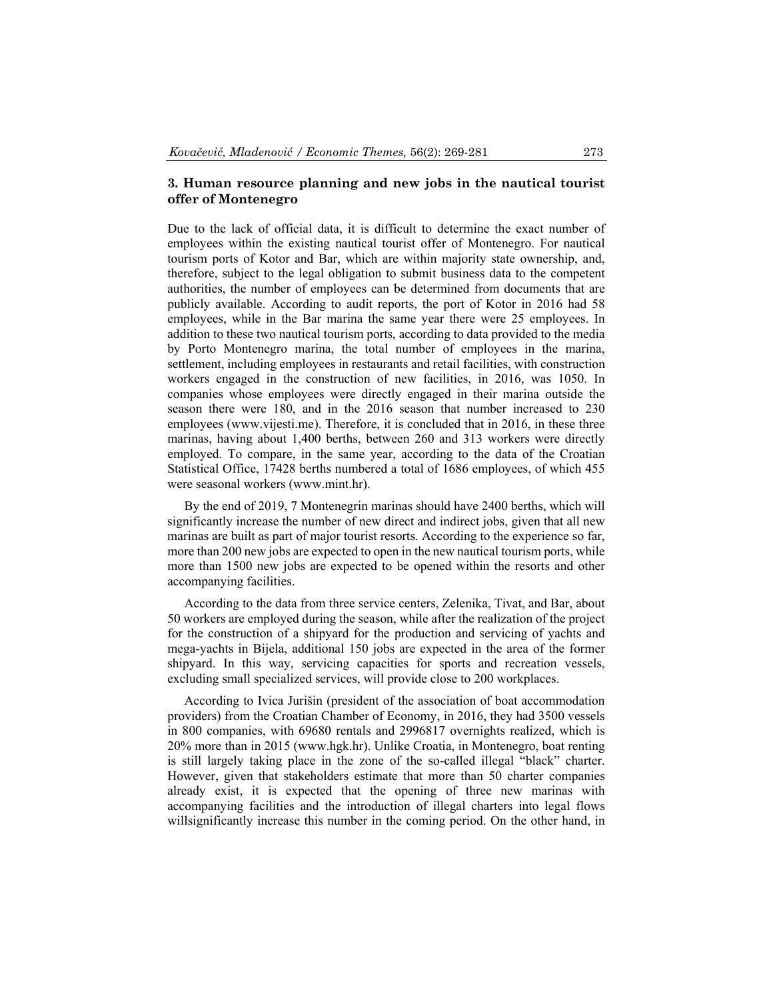### **3. Human resource planning and new jobs in the nautical tourist offer of Montenegro**

Due to the lack of official data, it is difficult to determine the exact number of employees within the existing nautical tourist offer of Montenegro. For nautical tourism ports of Kotor and Bar, which are within majority state ownership, and, therefore, subject to the legal obligation to submit business data to the competent authorities, the number of employees can be determined from documents that are publicly available. According to audit reports, the port of Kotor in 2016 had 58 employees, while in the Bar marina the same year there were 25 employees. In addition to these two nautical tourism ports, according to data provided to the media by Porto Montenegro marina, the total number of employees in the marina, settlement, including employees in restaurants and retail facilities, with construction workers engaged in the construction of new facilities, in 2016, was 1050. In companies whose employees were directly engaged in their marina outside the season there were 180, and in the 2016 season that number increased to 230 employees (www.vijesti.me). Therefore, it is concluded that in 2016, in these three marinas, having about 1,400 berths, between 260 and 313 workers were directly employed. To compare, in the same year, according to the data of the Croatian Statistical Office, 17428 berths numbered a total of 1686 employees, of which 455 were seasonal workers (www.mint.hr).

By the end of 2019, 7 Montenegrin marinas should have 2400 berths, which will significantly increase the number of new direct and indirect jobs, given that all new marinas are built as part of major tourist resorts. According to the experience so far, more than 200 new jobs are expected to open in the new nautical tourism ports, while more than 1500 new jobs are expected to be opened within the resorts and other accompanying facilities.

According to the data from three service centers, Zelenika, Tivat, and Bar, about 50 workers are employed during the season, while after the realization of the project for the construction of a shipyard for the production and servicing of yachts and mega-yachts in Bijela, additional 150 jobs are expected in the area of the former shipyard. In this way, servicing capacities for sports and recreation vessels, excluding small specialized services, will provide close to 200 workplaces.

According to Ivica Jurišin (president of the association of boat accommodation providers) from the Croatian Chamber of Economy, in 2016, they had 3500 vessels in 800 companies, with 69680 rentals and 2996817 overnights realized, which is 20% more than in 2015 (www.hgk.hr). Unlike Croatia, in Montenegro, boat renting is still largely taking place in the zone of the so-called illegal "black" charter. However, given that stakeholders estimate that more than 50 charter companies already exist, it is expected that the opening of three new marinas with accompanying facilities and the introduction of illegal charters into legal flows willsignificantly increase this number in the coming period. On the other hand, in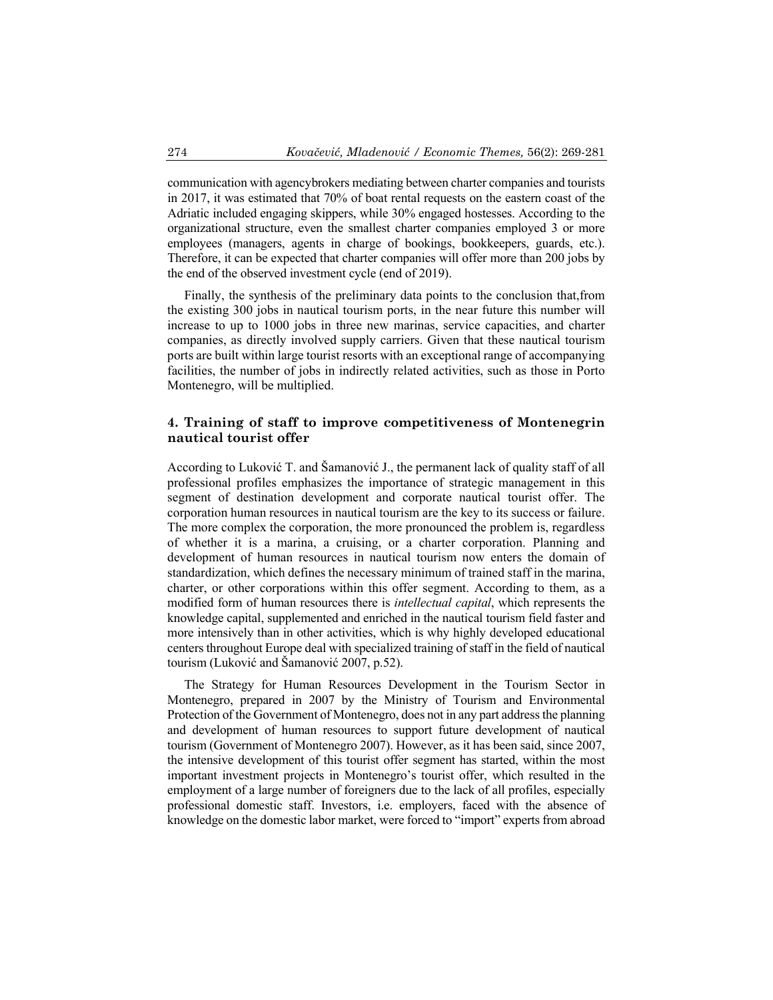communication with agencybrokers mediating between charter companies and tourists in 2017, it was estimated that 70% of boat rental requests on the eastern coast of the Adriatic included engaging skippers, while 30% engaged hostesses. According to the organizational structure, even the smallest charter companies employed 3 or more employees (managers, agents in charge of bookings, bookkeepers, guards, etc.). Therefore, it can be expected that charter companies will offer more than 200 jobs by the end of the observed investment cycle (end of 2019).

Finally, the synthesis of the preliminary data points to the conclusion that,from the existing 300 jobs in nautical tourism ports, in the near future this number will increase to up to 1000 jobs in three new marinas, service capacities, and charter companies, as directly involved supply carriers. Given that these nautical tourism ports are built within large tourist resorts with an exceptional range of accompanying facilities, the number of jobs in indirectly related activities, such as those in Porto Montenegro, will be multiplied.

### **4. Training of staff to improve competitiveness of Montenegrin nautical tourist offer**

According to Luković T. and Šamanović J., the permanent lack of quality staff of all professional profiles emphasizes the importance of strategic management in this segment of destination development and corporate nautical tourist offer. The corporation human resources in nautical tourism are the key to its success or failure. The more complex the corporation, the more pronounced the problem is, regardless of whether it is a marina, a cruising, or a charter corporation. Planning and development of human resources in nautical tourism now enters the domain of standardization, which defines the necessary minimum of trained staff in the marina, charter, or other corporations within this offer segment. According to them, as a modified form of human resources there is *intellectual capital*, which represents the knowledge capital, supplemented and enriched in the nautical tourism field faster and more intensively than in other activities, which is why highly developed educational centers throughout Europe deal with specialized training of staff in the field of nautical tourism (Luković and Šamanović 2007, p.52).

The Strategy for Human Resources Development in the Tourism Sector in Montenegro, prepared in 2007 by the Ministry of Tourism and Environmental Protection of the Government of Montenegro, does not in any part address the planning and development of human resources to support future development of nautical tourism (Government of Montenegro 2007). However, as it has been said, since 2007, the intensive development of this tourist offer segment has started, within the most important investment projects in Montenegro's tourist offer, which resulted in the employment of a large number of foreigners due to the lack of all profiles, especially professional domestic staff. Investors, i.e. employers, faced with the absence of knowledge on the domestic labor market, were forced to "import" experts from abroad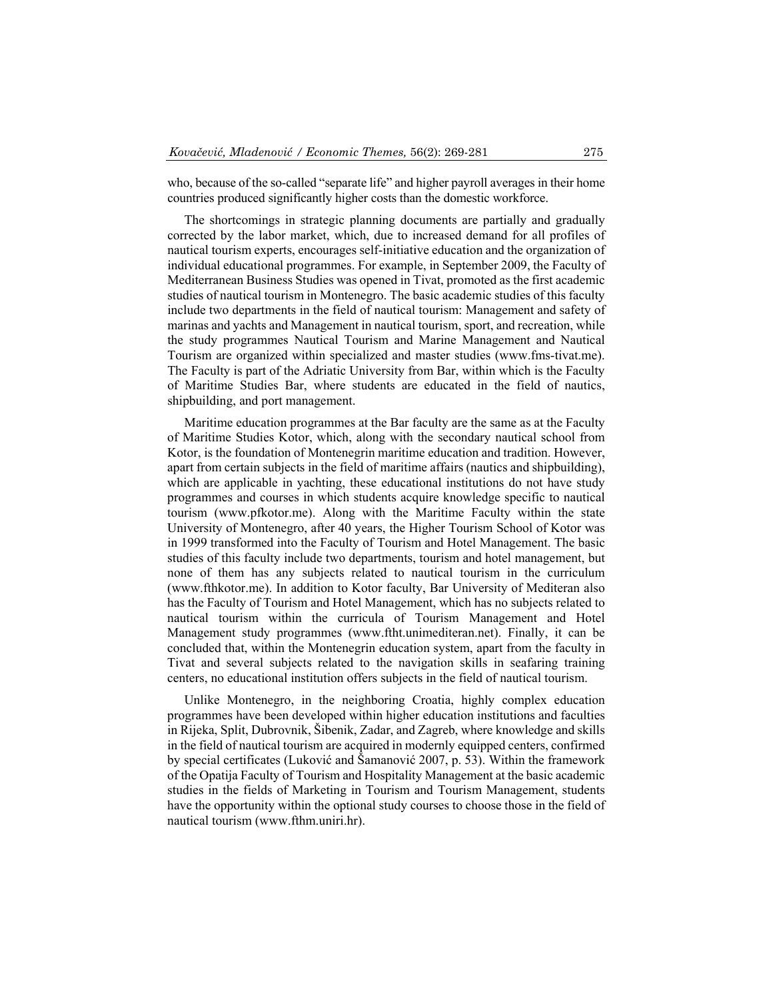who, because of the so-called "separate life" and higher payroll averages in their home countries produced significantly higher costs than the domestic workforce.

The shortcomings in strategic planning documents are partially and gradually corrected by the labor market, which, due to increased demand for all profiles of nautical tourism experts, encourages self-initiative education and the organization of individual educational programmes. For example, in September 2009, the Faculty of Mediterranean Business Studies was opened in Tivat, promoted as the first academic studies of nautical tourism in Montenegro. The basic academic studies of this faculty include two departments in the field of nautical tourism: Management and safety of marinas and yachts and Management in nautical tourism, sport, and recreation, while the study programmes Nautical Tourism and Marine Management and Nautical Tourism are organized within specialized and master studies (www.fms-tivat.me). The Faculty is part of the Adriatic University from Bar, within which is the Faculty of Maritime Studies Bar, where students are educated in the field of nautics, shipbuilding, and port management.

Maritime education programmes at the Bar faculty are the same as at the Faculty of Maritime Studies Kotor, which, along with the secondary nautical school from Kotor, is the foundation of Montenegrin maritime education and tradition. However, apart from certain subjects in the field of maritime affairs (nautics and shipbuilding), which are applicable in yachting, these educational institutions do not have study programmes and courses in which students acquire knowledge specific to nautical tourism (www.pfkotor.me). Along with the Maritime Faculty within the state University of Montenegro, after 40 years, the Higher Tourism School of Kotor was in 1999 transformed into the Faculty of Tourism and Hotel Management. The basic studies of this faculty include two departments, tourism and hotel management, but none of them has any subjects related to nautical tourism in the curriculum (www.fthkotor.me). In addition to Kotor faculty, Bar University of Mediteran also has the Faculty of Tourism and Hotel Management, which has no subjects related to nautical tourism within the curricula of Tourism Management and Hotel Management study programmes (www.ftht.unimediteran.net). Finally, it can be concluded that, within the Montenegrin education system, apart from the faculty in Tivat and several subjects related to the navigation skills in seafaring training centers, no educational institution offers subjects in the field of nautical tourism.

 Unlike Montenegro, in the neighboring Croatia, highly complex education programmes have been developed within higher education institutions and faculties in Rijeka, Split, Dubrovnik, Šibenik, Zadar, and Zagreb, where knowledge and skills in the field of nautical tourism are acquired in modernly equipped centers, confirmed by special certificates (Luković and Šamanović 2007, p. 53). Within the framework of the Opatija Faculty of Tourism and Hospitality Management at the basic academic studies in the fields of Marketing in Tourism and Tourism Management, students have the opportunity within the optional study courses to choose those in the field of nautical tourism (www.fthm.uniri.hr).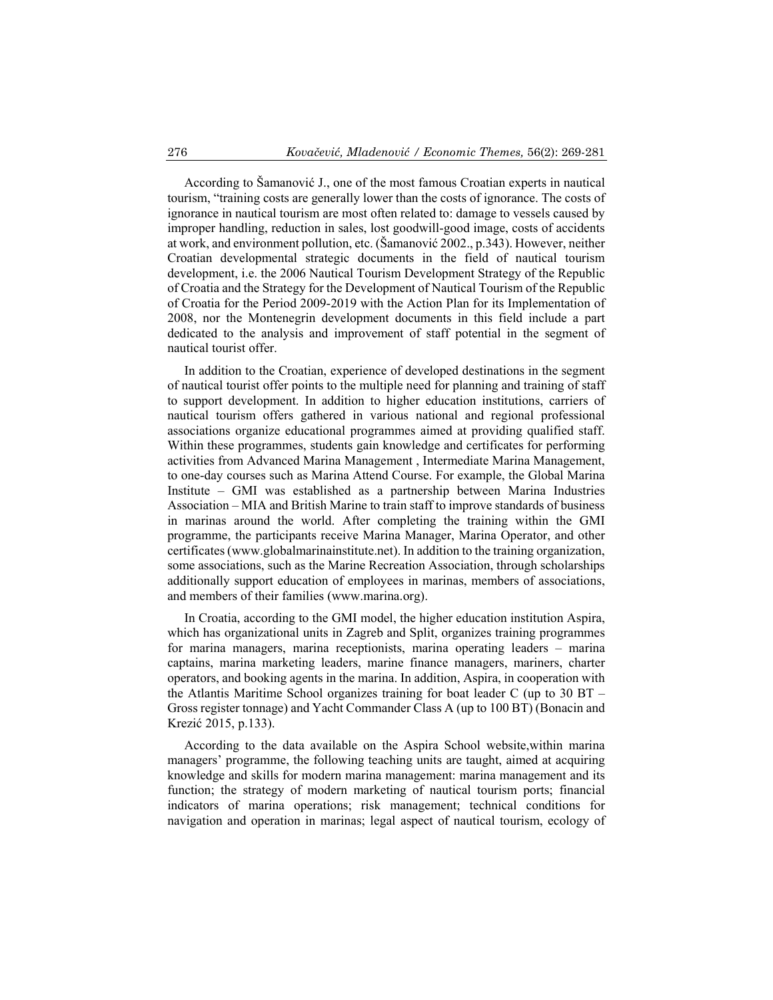According to Šamanović J., one of the most famous Croatian experts in nautical tourism, "training costs are generally lower than the costs of ignorance. The costs of ignorance in nautical tourism are most often related to: damage to vessels caused by improper handling, reduction in sales, lost goodwill-good image, costs of accidents at work, and environment pollution, etc. (Šamanović 2002., p.343). However, neither Croatian developmental strategic documents in the field of nautical tourism development, i.e. the 2006 Nautical Tourism Development Strategy of the Republic of Croatia and the Strategy for the Development of Nautical Tourism of the Republic of Croatia for the Period 2009-2019 with the Action Plan for its Implementation of 2008, nor the Montenegrin development documents in this field include a part dedicated to the analysis and improvement of staff potential in the segment of nautical tourist offer.

 In addition to the Croatian, experience of developed destinations in the segment of nautical tourist offer points to the multiple need for planning and training of staff to support development. In addition to higher education institutions, carriers of nautical tourism offers gathered in various national and regional professional associations organize educational programmes aimed at providing qualified staff. Within these programmes, students gain knowledge and certificates for performing activities from Advanced Marina Management , Intermediate Marina Management, to one-day courses such as Marina Attend Course. For example, the Global Marina Institute – GMI was established as a partnership between Marina Industries Association – MIA and British Marine to train staff to improve standards of business in marinas around the world. After completing the training within the GMI programme, the participants receive Marina Manager, Marina Operator, and other certificates (www.globalmarinainstitute.net). In addition to the training organization, some associations, such as the Marine Recreation Association, through scholarships additionally support education of employees in marinas, members of associations, and members of their families (www.marina.org).

 In Croatia, according to the GMI model, the higher education institution Aspira, which has organizational units in Zagreb and Split, organizes training programmes for marina managers, marina receptionists, marina operating leaders – marina captains, marina marketing leaders, marine finance managers, mariners, charter operators, and booking agents in the marina. In addition, Aspira, in cooperation with the Atlantis Maritime School organizes training for boat leader C (up to 30 BT – Gross register tonnage) and Yacht Commander Class A (up to 100 BT) (Bonacin and Krezić 2015, p.133).

 According to the data available on the Aspira School website,within marina managers' programme, the following teaching units are taught, aimed at acquiring knowledge and skills for modern marina management: marina management and its function; the strategy of modern marketing of nautical tourism ports; financial indicators of marina operations; risk management; technical conditions for navigation and operation in marinas; legal aspect of nautical tourism, ecology of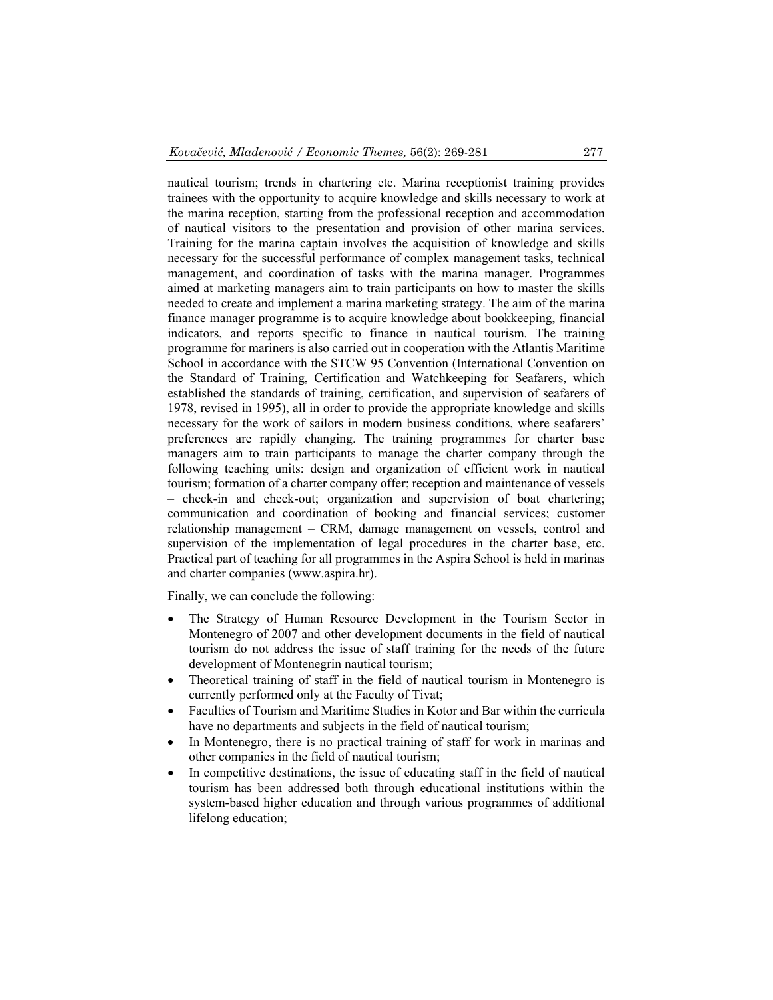nautical tourism; trends in chartering etc. Marina receptionist training provides trainees with the opportunity to acquire knowledge and skills necessary to work at the marina reception, starting from the professional reception and accommodation of nautical visitors to the presentation and provision of other marina services. Training for the marina captain involves the acquisition of knowledge and skills necessary for the successful performance of complex management tasks, technical management, and coordination of tasks with the marina manager. Programmes aimed at marketing managers aim to train participants on how to master the skills needed to create and implement a marina marketing strategy. The aim of the marina finance manager programme is to acquire knowledge about bookkeeping, financial indicators, and reports specific to finance in nautical tourism. The training programme for mariners is also carried out in cooperation with the Atlantis Maritime School in accordance with the STCW 95 Convention (International Convention on the Standard of Training, Certification and Watchkeeping for Seafarers, which established the standards of training, certification, and supervision of seafarers of 1978, revised in 1995), all in order to provide the appropriate knowledge and skills necessary for the work of sailors in modern business conditions, where seafarers' preferences are rapidly changing. The training programmes for charter base managers aim to train participants to manage the charter company through the following teaching units: design and organization of efficient work in nautical tourism; formation of a charter company offer; reception and maintenance of vessels – check-in and check-out; organization and supervision of boat chartering; communication and coordination of booking and financial services; customer relationship management – CRM, damage management on vessels, control and supervision of the implementation of legal procedures in the charter base, etc. Practical part of teaching for all programmes in the Aspira School is held in marinas and charter companies (www.aspira.hr).

Finally, we can conclude the following:

- The Strategy of Human Resource Development in the Tourism Sector in Montenegro of 2007 and other development documents in the field of nautical tourism do not address the issue of staff training for the needs of the future development of Montenegrin nautical tourism;
- Theoretical training of staff in the field of nautical tourism in Montenegro is currently performed only at the Faculty of Tivat;
- Faculties of Tourism and Maritime Studies in Kotor and Bar within the curricula have no departments and subjects in the field of nautical tourism;
- In Montenegro, there is no practical training of staff for work in marinas and other companies in the field of nautical tourism;
- In competitive destinations, the issue of educating staff in the field of nautical tourism has been addressed both through educational institutions within the system-based higher education and through various programmes of additional lifelong education;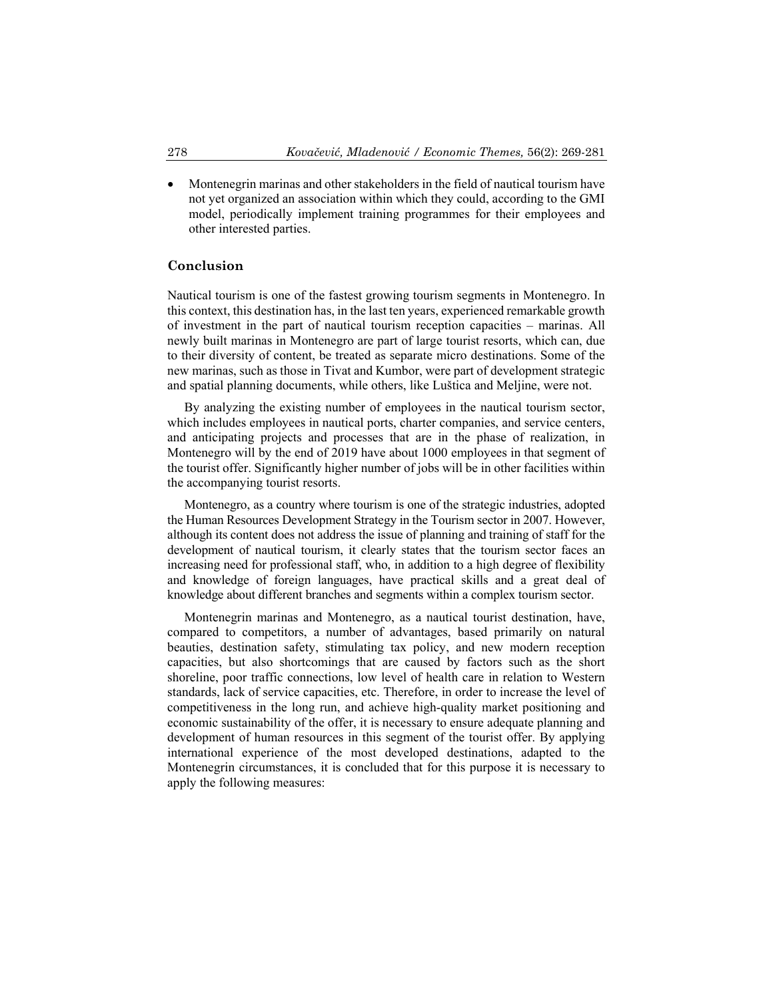Montenegrin marinas and other stakeholders in the field of nautical tourism have not yet organized an association within which they could, according to the GMI model, periodically implement training programmes for their employees and other interested parties.

#### **Conclusion**

Nautical tourism is one of the fastest growing tourism segments in Montenegro. In this context, this destination has, in the last ten years, experienced remarkable growth of investment in the part of nautical tourism reception capacities – marinas. All newly built marinas in Montenegro are part of large tourist resorts, which can, due to their diversity of content, be treated as separate micro destinations. Some of the new marinas, such as those in Tivat and Kumbor, were part of development strategic and spatial planning documents, while others, like Luštica and Meljine, were not.

By analyzing the existing number of employees in the nautical tourism sector, which includes employees in nautical ports, charter companies, and service centers, and anticipating projects and processes that are in the phase of realization, in Montenegro will by the end of 2019 have about 1000 employees in that segment of the tourist offer. Significantly higher number of jobs will be in other facilities within the accompanying tourist resorts.

 Montenegro, as a country where tourism is one of the strategic industries, adopted the Human Resources Development Strategy in the Tourism sector in 2007. However, although its content does not address the issue of planning and training of staff for the development of nautical tourism, it clearly states that the tourism sector faces an increasing need for professional staff, who, in addition to a high degree of flexibility and knowledge of foreign languages, have practical skills and a great deal of knowledge about different branches and segments within a complex tourism sector.

 Montenegrin marinas and Montenegro, as a nautical tourist destination, have, compared to competitors, a number of advantages, based primarily on natural beauties, destination safety, stimulating tax policy, and new modern reception capacities, but also shortcomings that are caused by factors such as the short shoreline, poor traffic connections, low level of health care in relation to Western standards, lack of service capacities, etc. Therefore, in order to increase the level of competitiveness in the long run, and achieve high-quality market positioning and economic sustainability of the offer, it is necessary to ensure adequate planning and development of human resources in this segment of the tourist offer. By applying international experience of the most developed destinations, adapted to the Montenegrin circumstances, it is concluded that for this purpose it is necessary to apply the following measures: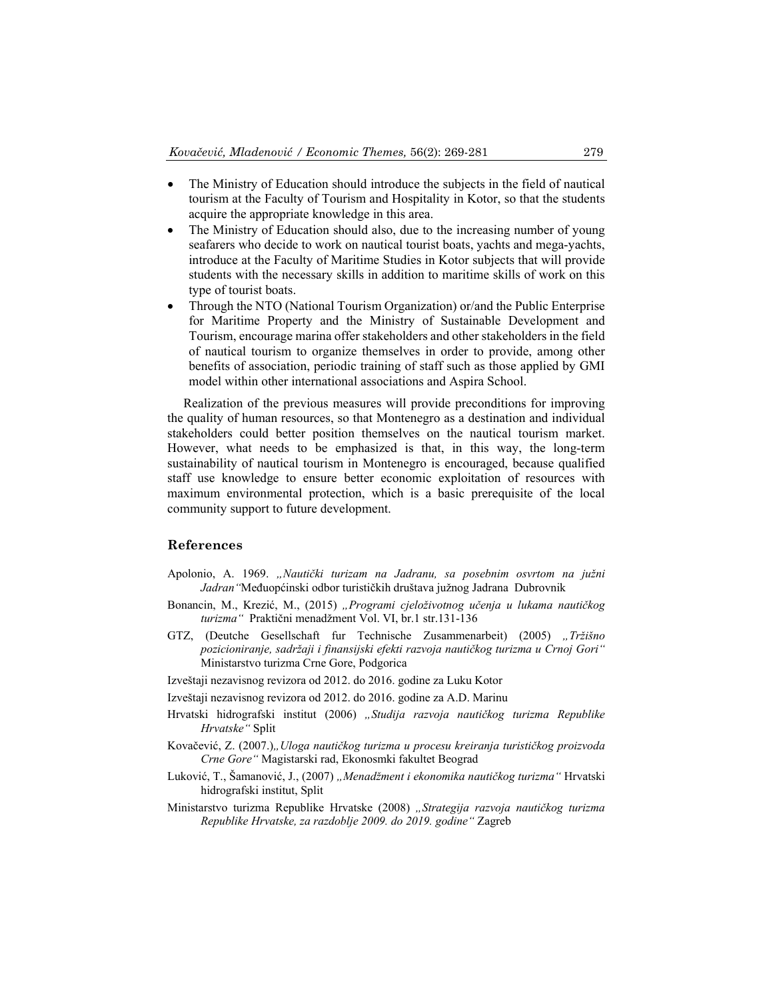- The Ministry of Education should introduce the subjects in the field of nautical tourism at the Faculty of Tourism and Hospitality in Kotor, so that the students acquire the appropriate knowledge in this area.
- The Ministry of Education should also, due to the increasing number of young seafarers who decide to work on nautical tourist boats, yachts and mega-yachts, introduce at the Faculty of Maritime Studies in Kotor subjects that will provide students with the necessary skills in addition to maritime skills of work on this type of tourist boats.
- Through the NTO (National Tourism Organization) or/and the Public Enterprise for Maritime Property and the Ministry of Sustainable Development and Tourism, encourage marina offer stakeholders and other stakeholders in the field of nautical tourism to organize themselves in order to provide, among other benefits of association, periodic training of staff such as those applied by GMI model within other international associations and Aspira School.

 Realization of the previous measures will provide preconditions for improving the quality of human resources, so that Montenegro as a destination and individual stakeholders could better position themselves on the nautical tourism market. However, what needs to be emphasized is that, in this way, the long-term sustainability of nautical tourism in Montenegro is encouraged, because qualified staff use knowledge to ensure better economic exploitation of resources with maximum environmental protection, which is a basic prerequisite of the local community support to future development.

#### **References**

- Apolonio, A. 1969. *"Nautički turizam na Jadranu, sa posebnim osvrtom na južni Jadran"*Međuopćinski odbor turističkih društava južnog Jadrana Dubrovnik
- Bonancin, M., Krezić, M., (2015) *"Programi cjeloživotnog učenja u lukama nautičkog turizma"* Praktični menadžment Vol. VI, br.1 str.131-136
- GTZ, (Deutche Gesellschaft fur Technische Zusammenarbeit) (2005) *"Tržišno pozicioniranje, sadržaji i finansijski efekti razvoja nautičkog turizma u Crnoj Gori"*  Ministarstvo turizma Crne Gore, Podgorica
- Izveštaji nezavisnog revizora od 2012. do 2016. godine za Luku Kotor
- Izveštaji nezavisnog revizora od 2012. do 2016. godine za A.D. Marinu
- Hrvatski hidrografski institut (2006) *"Studija razvoja nautičkog turizma Republike Hrvatske"* Split
- Kovačević, Z. (2007.)*"Uloga nautičkog turizma u procesu kreiranja turističkog proizvoda Crne Gore"* Magistarski rad, Ekonosmki fakultet Beograd
- Luković, T., Šamanović, J., (2007) *"Menadžment i ekonomika nautičkog turizma"* Hrvatski hidrografski institut, Split
- Ministarstvo turizma Republike Hrvatske (2008) *"Strategija razvoja nautičkog turizma Republike Hrvatske, za razdoblje 2009. do 2019. godine"* Zagreb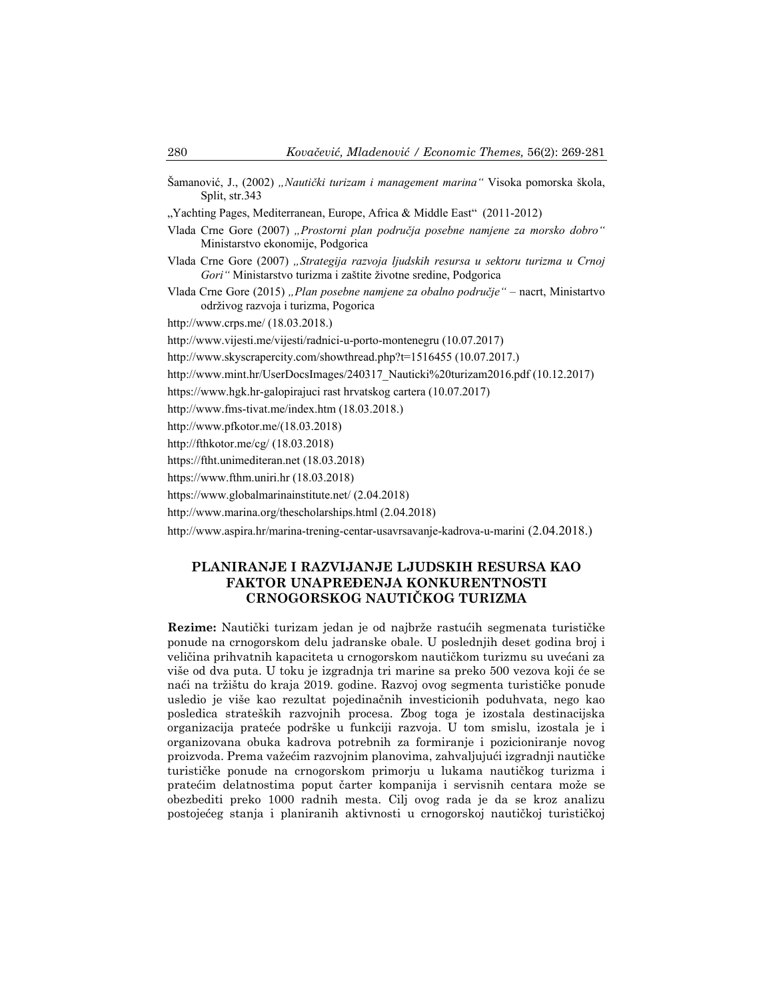- Šamanović, J., (2002) *"Nautički turizam i management marina"* Visoka pomorska škola, Split, str.343
- ", Yachting Pages, Mediterranean, Europe, Africa & Middle East" (2011-2012)
- Vlada Crne Gore (2007) *"Prostorni plan područja posebne namjene za morsko dobro"* Ministarstvo ekonomije, Podgorica
- Vlada Crne Gore (2007) *"Strategija razvoja ljudskih resursa u sektoru turizma u Crnoj Gori"* Ministarstvo turizma i zaštite životne sredine, Podgorica
- Vlada Crne Gore (2015) *"Plan posebne namjene za obalno područje"*  nacrt, Ministartvo održivog razvoja i turizma, Pogorica

http://www.crps.me/ (18.03.2018.)

http://www.vijesti.me/vijesti/radnici-u-porto-montenegru (10.07.2017)

http://www.skyscrapercity.com/showthread.php?t=1516455 (10.07.2017.)

- http://www.mint.hr/UserDocsImages/240317\_Nauticki%20turizam2016.pdf (10.12.2017)
- https://www.hgk.hr-galopirajuci rast hrvatskog cartera (10.07.2017)
- http://www.fms-tivat.me/index.htm (18.03.2018.)
- http://www.pfkotor.me/(18.03.2018)
- http://fthkotor.me/cg/ (18.03.2018)
- https://ftht.unimediteran.net (18.03.2018)
- https://www.fthm.uniri.hr (18.03.2018)
- https://www.globalmarinainstitute.net/ (2.04.2018)
- http://www.marina.org/thescholarships.html (2.04.2018)

http://www.aspira.hr/marina-trening-centar-usavrsavanje-kadrova-u-marini (2.04.2018.)

## **PLANIRANJE I RAZVIJANJE LJUDSKIH RESURSA KAO FAKTOR UNAPREĐENJA KONKURENTNOSTI CRNOGORSKOG NAUTIČKOG TURIZMA**

**Rezime:** Nautički turizam jedan je od najbrže rastućih segmenata turističke ponude na crnogorskom delu jadranske obale. U poslednjih deset godina broj i veličina prihvatnih kapaciteta u crnogorskom nautičkom turizmu su uvećani za više od dva puta. U toku je izgradnja tri marine sa preko 500 vezova koji će se naći na tržištu do kraja 2019. godine. Razvoj ovog segmenta turističke ponude usledio je više kao rezultat pojedinačnih investicionih poduhvata, nego kao posledica strateških razvojnih procesa. Zbog toga je izostala destinacijska organizacija prateće podrške u funkciji razvoja. U tom smislu, izostala je i organizovana obuka kadrova potrebnih za formiranje i pozicioniranje novog proizvoda. Prema važećim razvojnim planovima, zahvaljujući izgradnji nautičke turističke ponude na crnogorskom primorju u lukama nautičkog turizma i pratećim delatnostima poput čarter kompanija i servisnih centara može se obezbediti preko 1000 radnih mesta. Cilj ovog rada je da se kroz analizu postojećeg stanja i planiranih aktivnosti u crnogorskoj nautičkoj turističkoj